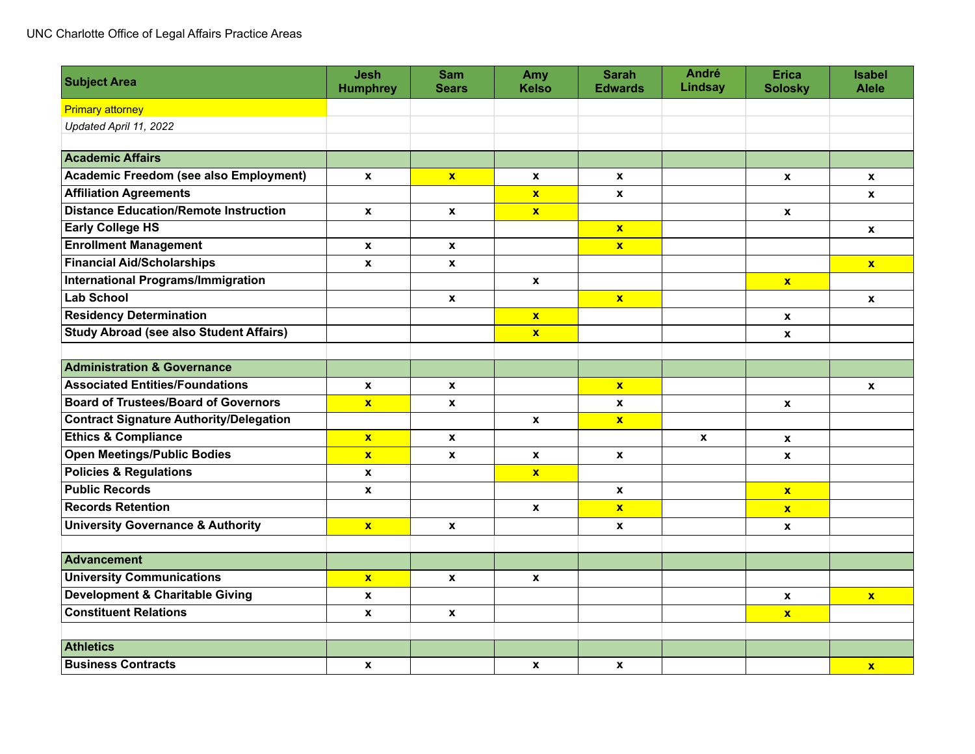| <b>Subject Area</b>                            | <b>Jesh</b><br><b>Humphrey</b> | <b>Sam</b><br><b>Sears</b> | Amy<br><b>Kelso</b>     | <b>Sarah</b><br><b>Edwards</b> | <b>André</b><br><b>Lindsay</b> | <b>Erica</b><br><b>Solosky</b> | Isabel<br><b>Alele</b> |
|------------------------------------------------|--------------------------------|----------------------------|-------------------------|--------------------------------|--------------------------------|--------------------------------|------------------------|
| <b>Primary attorney</b>                        |                                |                            |                         |                                |                                |                                |                        |
| Updated April 11, 2022                         |                                |                            |                         |                                |                                |                                |                        |
|                                                |                                |                            |                         |                                |                                |                                |                        |
| <b>Academic Affairs</b>                        |                                |                            |                         |                                |                                |                                |                        |
| <b>Academic Freedom (see also Employment)</b>  | $\mathbf{x}$                   | $\mathbf{x}$               | $\boldsymbol{x}$        | X                              |                                | $\boldsymbol{\mathsf{x}}$      | X                      |
| <b>Affiliation Agreements</b>                  |                                |                            | $\mathbf{x}$            | $\mathbf{x}$                   |                                |                                | $\mathbf{x}$           |
| <b>Distance Education/Remote Instruction</b>   | $\mathbf{x}$                   | X                          | $\mathbf{x}$            |                                |                                | $\boldsymbol{x}$               |                        |
| <b>Early College HS</b>                        |                                |                            |                         | $\mathbf{x}$                   |                                |                                | X                      |
| <b>Enrollment Management</b>                   | $\boldsymbol{x}$               | $\mathbf{x}$               |                         | $\mathbf{x}$                   |                                |                                |                        |
| <b>Financial Aid/Scholarships</b>              | X                              | $\mathbf{x}$               |                         |                                |                                |                                | $\mathbf{x}$           |
| <b>International Programs/Immigration</b>      |                                |                            | $\mathbf{x}$            |                                |                                | $\mathbf{x}$                   |                        |
| <b>Lab School</b>                              |                                | $\boldsymbol{x}$           |                         | $\mathbf{x}$                   |                                |                                | $\mathbf{x}$           |
| <b>Residency Determination</b>                 |                                |                            | $\mathbf{x}$            |                                |                                | $\boldsymbol{x}$               |                        |
| <b>Study Abroad (see also Student Affairs)</b> |                                |                            | $\overline{\mathbf{x}}$ |                                |                                | X                              |                        |
|                                                |                                |                            |                         |                                |                                |                                |                        |
| <b>Administration &amp; Governance</b>         |                                |                            |                         |                                |                                |                                |                        |
| <b>Associated Entities/Foundations</b>         | X                              | $\mathbf{x}$               |                         | $\mathbf{x}$                   |                                |                                | $\boldsymbol{x}$       |
| <b>Board of Trustees/Board of Governors</b>    | $\mathbf{x}$                   | $\pmb{\mathsf{x}}$         |                         | X                              |                                | $\pmb{\mathsf{x}}$             |                        |
| <b>Contract Signature Authority/Delegation</b> |                                |                            | $\pmb{\chi}$            | $\mathbf{x}$                   |                                |                                |                        |
| <b>Ethics &amp; Compliance</b>                 | $\mathbf{x}$                   | $\mathbf{x}$               |                         |                                | $\mathbf{x}$                   | $\boldsymbol{x}$               |                        |
| <b>Open Meetings/Public Bodies</b>             | $\mathbf{x}$                   | $\mathbf{x}$               | $\mathbf{x}$            | $\mathbf{x}$                   |                                | X                              |                        |
| <b>Policies &amp; Regulations</b>              | $\boldsymbol{x}$               |                            | $\mathbf{x}$            |                                |                                |                                |                        |
| <b>Public Records</b>                          | X                              |                            |                         | X                              |                                | $\mathbf{x}$                   |                        |
| <b>Records Retention</b>                       |                                |                            | X                       | $\mathbf{x}$                   |                                | $\mathbf{x}$                   |                        |
| <b>University Governance &amp; Authority</b>   | $\mathbf{x}$                   | $\boldsymbol{x}$           |                         | $\mathbf{x}$                   |                                | $\pmb{\mathsf{x}}$             |                        |
|                                                |                                |                            |                         |                                |                                |                                |                        |
| <b>Advancement</b>                             |                                |                            |                         |                                |                                |                                |                        |
| <b>University Communications</b>               | $\mathbf{x}$                   | $\mathbf{x}$               | $\mathbf{x}$            |                                |                                |                                |                        |
| <b>Development &amp; Charitable Giving</b>     | $\pmb{\mathsf{x}}$             |                            |                         |                                |                                | $\pmb{\mathsf{x}}$             | $\mathbf{x}$           |
| <b>Constituent Relations</b>                   | $\boldsymbol{x}$               | $\boldsymbol{x}$           |                         |                                |                                | $\mathbf{x}$                   |                        |
|                                                |                                |                            |                         |                                |                                |                                |                        |
| <b>Athletics</b>                               |                                |                            |                         |                                |                                |                                |                        |
| <b>Business Contracts</b>                      | $\pmb{\mathsf{x}}$             |                            | $\pmb{\mathsf{x}}$      | $\boldsymbol{x}$               |                                |                                | $\mathbf{x}$           |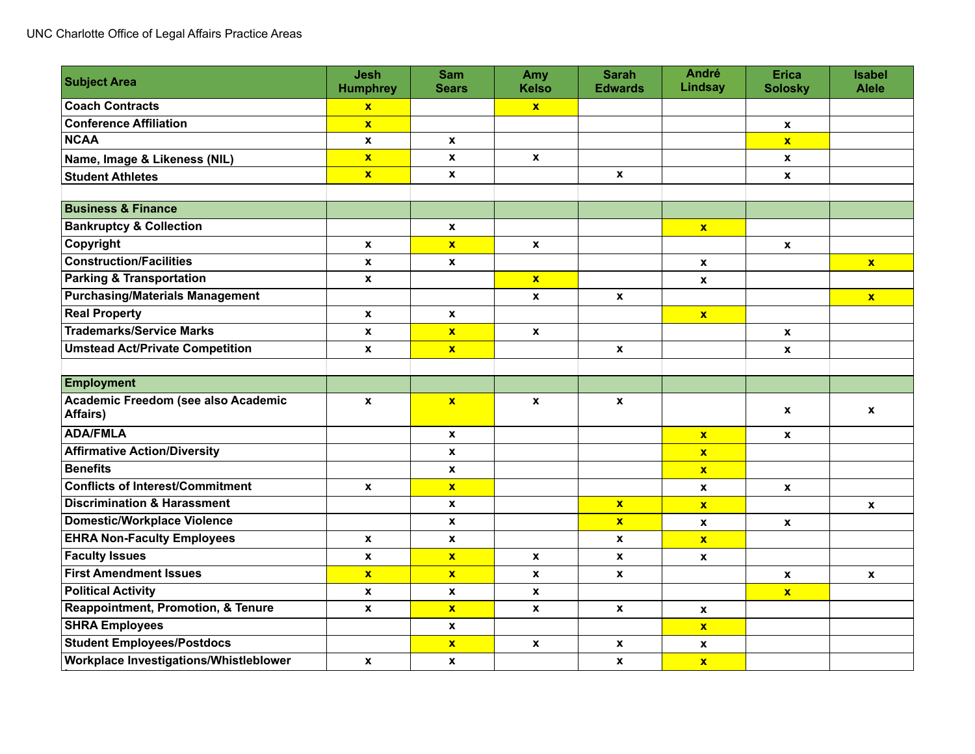| <b>Subject Area</b>                             | <b>Jesh</b><br><b>Humphrey</b> | <b>Sam</b><br><b>Sears</b> | Amy<br><b>Kelso</b> | <b>Sarah</b><br><b>Edwards</b> | <b>André</b><br>Lindsay | <b>Erica</b><br><b>Solosky</b> | <b>Isabel</b><br><b>Alele</b> |
|-------------------------------------------------|--------------------------------|----------------------------|---------------------|--------------------------------|-------------------------|--------------------------------|-------------------------------|
| <b>Coach Contracts</b>                          | $\mathbf{x}$                   |                            | $\mathbf{x}$        |                                |                         |                                |                               |
| <b>Conference Affiliation</b>                   | $\mathbf{x}$                   |                            |                     |                                |                         | $\mathbf{x}$                   |                               |
| <b>NCAA</b>                                     | $\mathbf x$                    | $\pmb{\chi}$               |                     |                                |                         | $\mathbf{x}$                   |                               |
| Name, Image & Likeness (NIL)                    | $\mathbf{x}$                   | $\boldsymbol{x}$           | $\mathbf{x}$        |                                |                         | $\mathbf{x}$                   |                               |
| <b>Student Athletes</b>                         | $\mathbf{x}$                   | $\boldsymbol{x}$           |                     | $\mathbf{x}$                   |                         | $\mathbf{x}$                   |                               |
|                                                 |                                |                            |                     |                                |                         |                                |                               |
| <b>Business &amp; Finance</b>                   |                                |                            |                     |                                |                         |                                |                               |
| <b>Bankruptcy &amp; Collection</b>              |                                | $\pmb{\chi}$               |                     |                                | $\mathbf{x}$            |                                |                               |
| Copyright                                       | $\mathbf{x}$                   | $\mathbf{x}$               | $\mathbf{x}$        |                                |                         | $\mathbf{x}$                   |                               |
| <b>Construction/Facilities</b>                  | $\mathbf{x}$                   | $\pmb{\chi}$               |                     |                                | X                       |                                | $\mathbf{x}$                  |
| <b>Parking &amp; Transportation</b>             | $\mathbf x$                    |                            | $\mathbf{x}$        |                                | $\pmb{\mathsf{x}}$      |                                |                               |
| <b>Purchasing/Materials Management</b>          |                                |                            | X                   | $\pmb{\mathsf{x}}$             |                         |                                | $\mathbf{x}$                  |
| <b>Real Property</b>                            | $\mathbf{x}$                   | $\mathbf{x}$               |                     |                                | $\mathbf{x}$            |                                |                               |
| <b>Trademarks/Service Marks</b>                 | $\mathbf{x}$                   | $\mathbf{x}$               | $\mathbf{x}$        |                                |                         | $\mathbf{x}$                   |                               |
| <b>Umstead Act/Private Competition</b>          | $\mathbf{x}$                   | $\mathbf{x}$               |                     | $\mathbf{x}$                   |                         | $\mathbf{x}$                   |                               |
|                                                 |                                |                            |                     |                                |                         |                                |                               |
| <b>Employment</b>                               |                                |                            |                     |                                |                         |                                |                               |
| Academic Freedom (see also Academic<br>Affairs) | $\mathbf{x}$                   | $\mathbf{x}$               | $\mathbf{x}$        | $\mathbf{x}$                   |                         | X                              | $\mathbf{x}$                  |
| <b>ADA/FMLA</b>                                 |                                | $\pmb{\mathsf{x}}$         |                     |                                | $\mathbf{x}$            | X                              |                               |
| <b>Affirmative Action/Diversity</b>             |                                | X                          |                     |                                | $\mathbf{x}$            |                                |                               |
| <b>Benefits</b>                                 |                                | X                          |                     |                                | $\mathbf{x}$            |                                |                               |
| <b>Conflicts of Interest/Commitment</b>         | $\mathbf x$                    | $\overline{\mathbf{x}}$    |                     |                                | $\mathbf{x}$            | $\mathbf{x}$                   |                               |
| <b>Discrimination &amp; Harassment</b>          |                                | X                          |                     | $\mathbf{x}$                   | $\mathbf{x}$            |                                | $\mathbf{x}$                  |
| <b>Domestic/Workplace Violence</b>              |                                | X                          |                     | $\mathbf{x}$                   | $\mathbf{x}$            | $\mathbf{x}$                   |                               |
| <b>EHRA Non-Faculty Employees</b>               | $\mathbf{x}$                   | $\boldsymbol{x}$           |                     | $\mathbf{x}$                   | $\mathbf{x}$            |                                |                               |
| <b>Faculty Issues</b>                           | $\pmb{\mathsf{x}}$             | $\overline{\mathbf{x}}$    | X                   | $\mathbf{x}$                   | $\pmb{\mathsf{x}}$      |                                |                               |
| <b>First Amendment Issues</b>                   | $\mathbf{x}$                   | $\mathbf{x}$               | $\mathbf{x}$        | $\mathbf{x}$                   |                         | $\mathbf{x}$                   | $\mathbf{x}$                  |
| <b>Political Activity</b>                       | $\mathbf x$                    | X                          | X                   |                                |                         | $\mathbf{x}$                   |                               |
| <b>Reappointment, Promotion, &amp; Tenure</b>   | $\boldsymbol{x}$               | $\mathbf{x}$               | $\mathbf{x}$        | $\mathbf{x}$                   | X                       |                                |                               |
| <b>SHRA Employees</b>                           |                                | $\mathbf{x}$               |                     |                                | $\mathbf{x}$            |                                |                               |
| <b>Student Employees/Postdocs</b>               |                                | $\mathbf{x}$               | $\pmb{\mathsf{x}}$  | $\pmb{\mathsf{x}}$             | X                       |                                |                               |
| Workplace Investigations/Whistleblower          | $\mathbf x$                    | $\boldsymbol{x}$           |                     | $\mathbf{x}$                   | $\overline{\mathbf{x}}$ |                                |                               |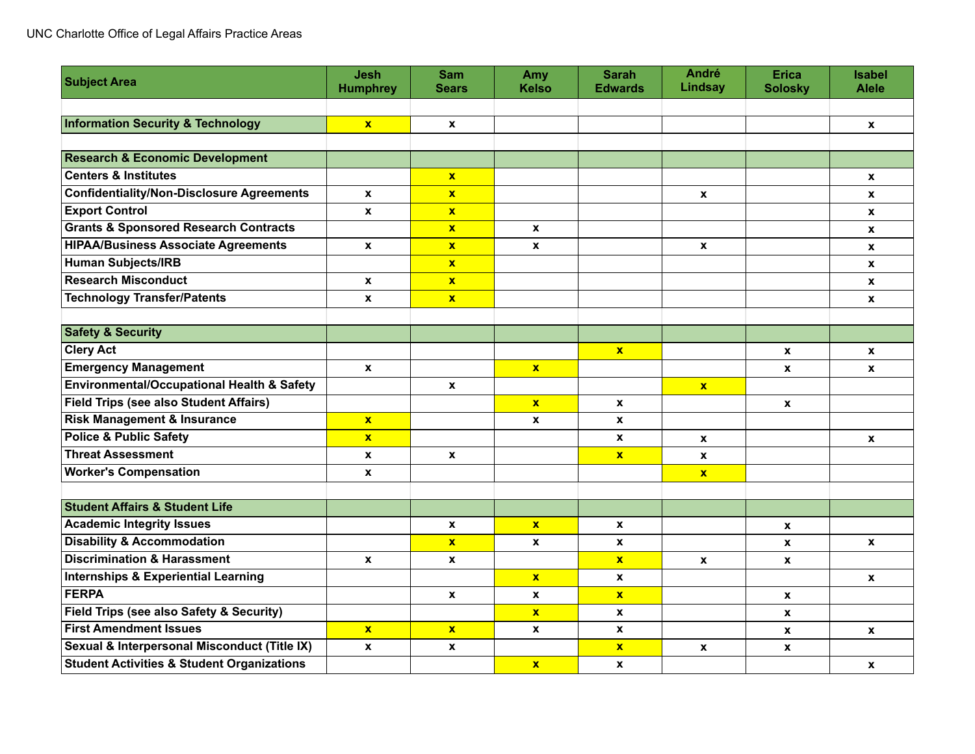| <b>Subject Area</b>                                   | <b>Jesh</b>      | <b>Sam</b>       | Amy                | <b>Sarah</b>     | <b>André</b><br><b>Lindsay</b> | <b>Erica</b>     | <b>Isabel</b><br><b>Alele</b> |
|-------------------------------------------------------|------------------|------------------|--------------------|------------------|--------------------------------|------------------|-------------------------------|
|                                                       | <b>Humphrey</b>  | <b>Sears</b>     | Kelso              | <b>Edwards</b>   |                                | <b>Solosky</b>   |                               |
| <b>Information Security &amp; Technology</b>          | $\mathbf{x}$     | $\boldsymbol{x}$ |                    |                  |                                |                  | $\mathbf{x}$                  |
|                                                       |                  |                  |                    |                  |                                |                  |                               |
| <b>Research &amp; Economic Development</b>            |                  |                  |                    |                  |                                |                  |                               |
| <b>Centers &amp; Institutes</b>                       |                  | $\mathbf{x}$     |                    |                  |                                |                  | $\boldsymbol{x}$              |
| <b>Confidentiality/Non-Disclosure Agreements</b>      | $\mathbf{x}$     | $\mathbf{x}$     |                    |                  | $\mathbf{x}$                   |                  | $\mathbf{x}$                  |
| <b>Export Control</b>                                 | X                | $\mathbf{x}$     |                    |                  |                                |                  | $\mathbf{x}$                  |
| <b>Grants &amp; Sponsored Research Contracts</b>      |                  | $\mathbf{x}$     | $\mathbf{x}$       |                  |                                |                  | $\mathbf{x}$                  |
| <b>HIPAA/Business Associate Agreements</b>            | X                | $\mathbf{x}$     | X                  |                  | $\mathbf{x}$                   |                  | $\pmb{\mathsf{x}}$            |
| <b>Human Subjects/IRB</b>                             |                  | $\mathbf{x}$     |                    |                  |                                |                  | $\mathbf{x}$                  |
| <b>Research Misconduct</b>                            | $\mathbf{x}$     | $\mathbf{x}$     |                    |                  |                                |                  | $\mathbf{x}$                  |
| <b>Technology Transfer/Patents</b>                    | X                | $\mathbf{x}$     |                    |                  |                                |                  | $\mathbf{x}$                  |
|                                                       |                  |                  |                    |                  |                                |                  |                               |
| <b>Safety &amp; Security</b>                          |                  |                  |                    |                  |                                |                  |                               |
| <b>Clery Act</b>                                      |                  |                  |                    | $\mathbf{x}$     |                                | $\mathbf{x}$     | $\mathbf{x}$                  |
| <b>Emergency Management</b>                           | X                |                  | $\mathbf{x}$       |                  |                                | X                | X                             |
| <b>Environmental/Occupational Health &amp; Safety</b> |                  | $\mathbf{x}$     |                    |                  | $\mathbf{x}$                   |                  |                               |
| <b>Field Trips (see also Student Affairs)</b>         |                  |                  | $\mathbf{x}$       | $\mathbf{x}$     |                                | $\boldsymbol{x}$ |                               |
| <b>Risk Management &amp; Insurance</b>                | $\mathbf{x}$     |                  | X                  | $\mathbf{x}$     |                                |                  |                               |
| <b>Police &amp; Public Safety</b>                     | $\mathbf{x}$     |                  |                    | $\mathbf{x}$     | $\mathbf{x}$                   |                  | $\mathbf{x}$                  |
| <b>Threat Assessment</b>                              | $\boldsymbol{x}$ | X                |                    | $\mathbf{x}$     | $\boldsymbol{x}$               |                  |                               |
| <b>Worker's Compensation</b>                          | $\boldsymbol{x}$ |                  |                    |                  | $\mathbf{x}$                   |                  |                               |
|                                                       |                  |                  |                    |                  |                                |                  |                               |
| <b>Student Affairs &amp; Student Life</b>             |                  |                  |                    |                  |                                |                  |                               |
| <b>Academic Integrity Issues</b>                      |                  | $\mathbf{x}$     | $\mathbf{x}$       | $\mathbf{x}$     |                                | X                |                               |
| <b>Disability &amp; Accommodation</b>                 |                  | $\mathbf{x}$     | X                  | $\boldsymbol{x}$ |                                | $\mathbf{x}$     | $\mathbf{x}$                  |
| <b>Discrimination &amp; Harassment</b>                | $\mathbf{x}$     | $\mathbf{x}$     |                    | $\mathbf{x}$     | $\mathbf x$                    | X                |                               |
| Internships & Experiential Learning                   |                  |                  | $\mathbf{x}$       | $\mathbf{x}$     |                                |                  | $\mathbf{x}$                  |
| <b>FERPA</b>                                          |                  | X                | $\pmb{\mathsf{x}}$ | $\mathbf{x}$     |                                | X                |                               |
| <b>Field Trips (see also Safety &amp; Security)</b>   |                  |                  | $\mathbf{x}$       | $\boldsymbol{x}$ |                                | $\mathbf{x}$     |                               |
| <b>First Amendment Issues</b>                         | $\mathbf{x}$     | $\mathbf{x}$     | X                  | X                |                                | X                | $\mathbf{x}$                  |
| Sexual & Interpersonal Misconduct (Title IX)          | $\mathbf{x}$     | $\mathbf{x}$     |                    | $\mathbf{x}$     | $\pmb{\mathsf{x}}$             | X                |                               |
| <b>Student Activities &amp; Student Organizations</b> |                  |                  | $\mathbf{x}$       | $\boldsymbol{x}$ |                                |                  | $\mathbf{x}$                  |